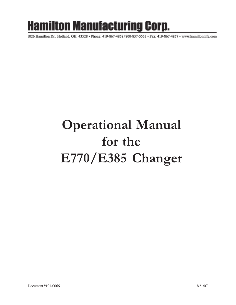# **Hamilton Manufacturing Corp.**

1026 Hamilton Dr., Holland, OH 43528 · Phone: 419-867-4858/800-837-5561 · Fax: 419-867-4857 · www.hamiltonmfg.com

# Operational Manual for the E770/E385 Changer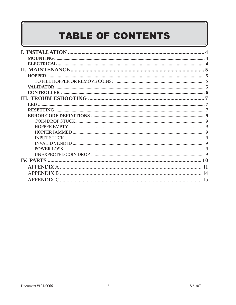# **TABLE OF CONTENTS**

| <b>INSTALLATION</b>    |  |
|------------------------|--|
| <b>MOUNTING</b>        |  |
| <b>ELECTRICAL</b>      |  |
|                        |  |
| <b>HOPPER</b>          |  |
|                        |  |
| VALIDATOR .            |  |
|                        |  |
|                        |  |
|                        |  |
|                        |  |
|                        |  |
| <b>COIN DROP STUCK</b> |  |
| <b>HOPPER EMPTY</b>    |  |
| <b>HOPPER JAMMED</b>   |  |
| <b>INPUT STUCK</b>     |  |
| INVALID VEND ID        |  |
| POWER LOSS             |  |
|                        |  |
| <b>IV. PARTS</b>       |  |
| <b>APPENDIX A</b>      |  |
| <b>APPENDIX B</b>      |  |
| <b>APPENDIX C</b>      |  |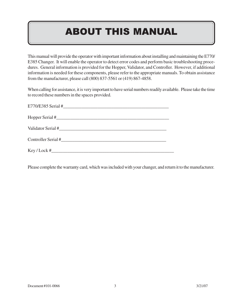## ABOUT THIS MANUAL

This manual will provide the operator with important information about installing and maintaining the E770/ E385 Changer. It will enable the operator to detect error codes and perform basic troubleshooting procedures. General information is provided for the Hopper, Validator, and Controller. However, if additional information is needed for these components, please refer to the appropriate manuals. To obtain assistance from the manufacturer, please call (800) 837-5561 or (419) 867-4858.

When calling for assistance, it is very important to have serial numbers readily available. Please take the time to record these numbers in the spaces provided.

| $E770/E385$ Serial # |
|----------------------|
|                      |
| Validator Serial #   |
| Controller Serial #  |
| Key / Lock #         |

Please complete the warranty card, which was included with your changer, and return it to the manufacturer.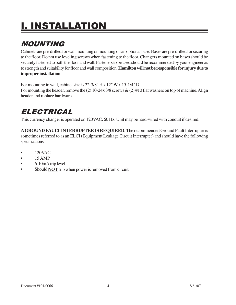# I. INSTALLATION

## MOUNTING

Cabinets are pre-drilled for wall mounting or mounting on an optional base. Bases are pre-drilled for securing to the floor. Do not use leveling screws when fastening to the floor. Changers mounted on bases should be securely fastened to both the floor and wall. Fasteners to be used should be recommended by your engineer as to strength and suitability for floor and wall composition. **Hamilton will not be responsible for injury due to improper installation**.

For mounting in wall, cabinet size is 22-3/8" H x 12" W x 15-1/4" D. For mounting the header, remove the (2) 10-24x 3/8 screws  $\&$  (2) #10 flat washers on top of machine. Align header and replace hardware.

## ELECTRICAL

This currency changer is operated on 120VAC, 60 Hz. Unit may be hard-wired with conduit if desired.

**A GROUND FAULT INTERRUPTER IS REQUIRED***.* The recommended Ground Fault Interrupter is sometimes referred to as an ELCI (Equipment Leakage Circuit Interrupter) and should have the following specifications:

- 120VAC
- $\bullet$  15 AMP
- 6-10mA trip level
- Should **NOT** trip when power is removed from circuit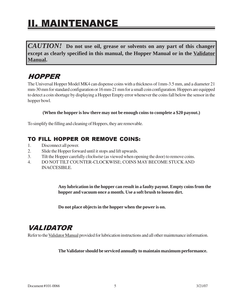## II. MAINTENANCE

*CAUTION!* **Do not use oil, grease or solvents on any part of this changer except as clearly specified in this manual, the Hopper Manual or in the Validator Manual.**

### HOPPER

The Universal Hopper Model MK4 can dispense coins with a thickness of 1mm-3.5 mm, and a diameter 21 mm-30 mm for standard configuration or 16 mm-21 mm for a small coin configuration. Hoppers are equipped to detect a coin shortage by displaying a Hopper Empty error whenever the coins fall below the sensor in the hopper bowl.

**(When the hopper is low there may not be enough coins to complete a \$20 payout.)**

To simplify the filling and cleaning of Hoppers, they are removable.

### TO FILL HOPPER OR REMOVE COINS:

- 1. Disconnect all power.
- 2. Slide the Hopper forward until it stops and lift upwards.
- 3. Tilt the Hopper carefully *clockwise* (as viewed when opening the door) to remove coins.
- 4. DO NOT TILT COUNTER-CLOCKWISE; COINS MAY BECOME STUCK AND INACCESIBLE.

**Any lubrication in the hopper can result in a faulty payout. Empty coins from the hopper and vacuum once a month. Use a soft brush to loosen dirt.**

**Do not place objects in the hopper when the power is on.**

## VALIDATOR

Refer to the Validator Manual provided for lubrication instructions and all other maintenance information.

#### **The Validator should be serviced annually to maintain maximum performance.**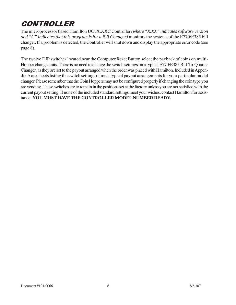## CONTROLLER

The microprocessor based Hamilton UCvX.XXC Controller *(where "X.XX" indicates software version and "C" indicates that this program is for a Bill Changer)* monitors the systems of the E770/E385 bill changer. If a problem is detected, the Controller will shut down and display the appropriate error code (see page 8).

The twelve DIP switches located near the Computer Reset Button select the payback of coins on multi-Hopper change units. There is no need to change the switch settings on a typical E770/E385 Bill-To-Quarter Changer, as they are set to the payout arranged when the order was placed with Hamilton. Included in Appendix A are sheets listing the switch settings of most typical payout arrangements for your particular model changer. Please remember that the Coin Hoppers may not be configured properly if changing the coin type you are vending. These switches are to remain in the positions set at the factory unless you are not satisfied with the current payout setting. If none of the included standard settings meet your wishes, contact Hamilton for assistance. **YOU MUST HAVE THE CONTROLLER MODEL NUMBER READY.**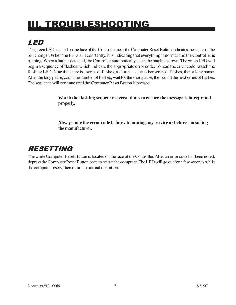# III. TROUBLESHOOTING

## LED

The green LED located on the face of the Controller near the Computer Reset Button indicates the status of the bill changer. When the LED is lit constantly, it is indicating that everything is normal and the Controller is running. When a fault is detected, the Controller automatically shuts the machine down. The green LED will begin a sequence of flashes, which indicate the appropriate error code. To read the error code, watch the flashing LED. Note that there is a series of flashes, a short pause, another series of flashes, then a long pause. After the long pause, count the number of flashes, wait for the short pause, then count the next series of flashes. The sequence will continue until the Computer Reset Button is pressed.

> **Watch the flashing sequence several times to ensure the message is interpreted properly.**

**Always note the error code before attempting any service or before contacting the manufacturer.**

### RESETTING

The white Computer Reset Button is located on the face of the Controller. After an error code has been noted, depress the Computer Reset Button once to restart the computer. The LED will go out for a few seconds while the computer resets, then return to normal operation.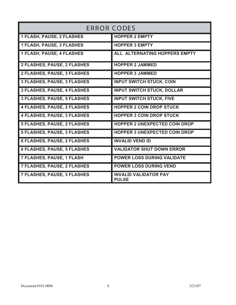| <b>ERROR CODES</b>                 |                                              |  |
|------------------------------------|----------------------------------------------|--|
| <b>1 FLASH, PAUSE, 2 FLASHES</b>   | <b>HOPPER 2 EMPTY</b>                        |  |
| <b>1 FLASH, PAUSE, 3 FLASHES</b>   | <b>HOPPER 3 EMPTY</b>                        |  |
| <b>1 FLASH, PAUSE, 4 FLASHES</b>   | ALL ALTERNATING HOPPERS EMPTY                |  |
| 2 FLASHES, PAUSE, 2 FLASHES        | <b>HOPPER 2 JAMMED</b>                       |  |
| 2 FLASHES, PAUSE, 3 FLASHES        | <b>HOPPER 3 JAMMED</b>                       |  |
| <b>3 FLASHES, PAUSE, 3 FLASHES</b> | <b>INPUT SWITCH STUCK, COIN</b>              |  |
| <b>3 FLASHES, PAUSE, 4 FLASHES</b> | <b>INPUT SWITCH STUCK, DOLLAR</b>            |  |
| <b>3 FLASHES, PAUSE, 5 FLASHES</b> | <b>INPUT SWITCH STUCK, FIVE</b>              |  |
| <b>4 FLASHES, PAUSE, 2 FLASHES</b> | <b>HOPPER 2 COIN DROP STUCK</b>              |  |
| <b>4 FLASHES, PAUSE, 3 FLASHES</b> | <b>HOPPER 3 COIN DROP STUCK</b>              |  |
| 5 FLASHES, PAUSE, 2 FLASHES        | <b>HOPPER 2 UNEXPECTED COIN DROP</b>         |  |
| <b>5 FLASHES, PAUSE, 3 FLASHES</b> | <b>HOPPER 3 UNEXPECTED COIN DROP</b>         |  |
| <b>6 FLASHES, PAUSE, 2 FLASHES</b> | <b>INVALID VEND ID</b>                       |  |
| <b>6 FLASHES, PAUSE, 5 FLASHES</b> | <b>VALIDATOR SHUT DOWN ERROR</b>             |  |
| 7 FLASHES, PAUSE, 1 FLASH          | POWER LOSS DURING VALIDATE                   |  |
| <b>7 FLASHES, PAUSE, 2 FLASHES</b> | <b>POWER LOSS DURING VEND</b>                |  |
| 7 FLASHES, PAUSE, 3 FLASHES        | <b>INVALID VALIDATOR PAY</b><br><b>PULSE</b> |  |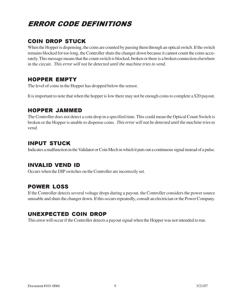## ERROR CODE DEFINITIONS

### COIN DROP STUCK

When the Hopper is dispensing, the coins are counted by passing them through an optical switch. If the switch remains blocked for too long, the Controller shuts the changer down because it cannot count the coins accurately. This message means that the count switch is blocked, broken or there is a broken connection elsewhere in the circuit. *This error will not be detected until the machine tries to vend.*

#### HOPPER EMPTY

The level of coins in the Hopper has dropped below the sensor.

It is important to note that when the hopper is low there may not be enough coins to complete a \$20 payout.

#### HOPPER JAMMED

The Controller does not detect a coin drop in a specified time. This could mean the Optical Count Switch is broken or the Hopper is unable to dispense coins. *This error will not be detected until the machine tries to vend.*

#### INPUT STUCK

Indicates a malfunction in the Validator or Coin Mech in which it puts out a continuous signal instead of a pulse.

#### INVALID VEND ID

Occurs when the DIP switches on the Controller are incorrectly set.

### POWER LOSS

If the Controller detects several voltage drops during a payout, the Controller considers the power source unusable and shuts the changer down. If this occurs repeatedly, consult an electrician or the Power Company.

### UNEXPECTED COIN DROP

This error will occur if the Controller detects a payout signal when the Hopper was not intended to run.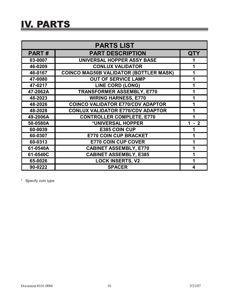## IV. PARTS

| <b>PARTS LIST</b> |                                               |      |  |
|-------------------|-----------------------------------------------|------|--|
| <b>PART#</b>      | <b>QTY</b>                                    |      |  |
| 03-0007           | <b>UNIVERSAL HOPPER ASSY BASE</b>             |      |  |
| 46-0209           | <b>CONLUX VALIDATOR</b>                       | 1    |  |
| 46-0167           | <b>COINCO MAG50B VALIDATOR (BOTTLER MASK)</b> |      |  |
| 47-0080           | <b>OUT OF SERVICE LAMP</b>                    | 1    |  |
| 47-0217           | <b>LINE CORD (LONG)</b>                       |      |  |
| 47-2062A          | <b>TRANSFORMER ASSEMBLY, E770</b>             |      |  |
| 48-2023           | <b>WIRING HARNESS, E770</b>                   |      |  |
| 48-2026           | <b>COINCO VALIDATOR E770/CDV ADAPTOR</b>      |      |  |
| 48-2028           | <b>CONLUX VALIDATOR E770/CDV ADAPTOR</b>      |      |  |
| 49-2006A          | <b>CONTROLLER COMPLETE, E770</b>              |      |  |
| 50-0580A          | *UNIVERSAL HOPPER                             | $-2$ |  |
| 60-0039           | <b>E385 COIN CUP</b>                          |      |  |
| 60-0307           | <b>E770 COIN CUP BRACKET</b>                  |      |  |
| 60-0313           | <b>E770 COIN CUP COVER</b>                    |      |  |
| 61-0540A          | <b>CABINET ASSEMBLY, E770</b>                 |      |  |
| 61-0540C          | <b>CABINET ASSEMBLY, E385</b>                 |      |  |
| 65-0026           | <b>LOCK INSERTS, V2</b>                       |      |  |
| 90-0222           | <b>SPACER</b>                                 | 4    |  |

\* Specify coin type

<u> 1989 - Johann Stein, mars ar breithinn ar chuid ann an t-</u>

═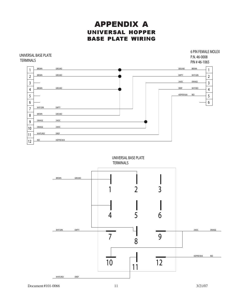### APPENDIX A UNIVERSAL HOPPER BASE PLATE WIRING

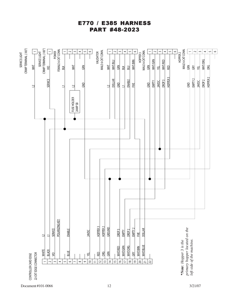#### E770 / E385 HARNESS PART #48-2023

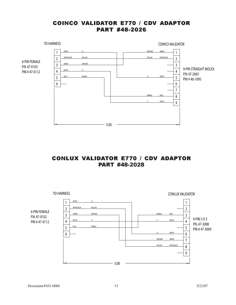#### COINCO VALIDATOR E770 / CDV ADAPTOR PART #48-2026



#### CONLUX VALIDATOR E770 / CDV ADAPTOR PART #48-2028

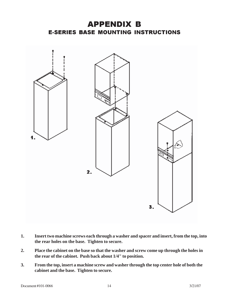### APPENDIX B E-SERIES BASE MOUNTING INSTRUCTIONS



- **1. Insert two machine screws each through a washer and spacer and insert, from the top, into the rear holes on the base. Tighten to secure.**
- **2. Place the cabinet on the base so that the washer and screw come up through the holes in the rear of the cabinet. Push back about 1/4" to position.**
- **3. From the top, insert a machine screw and washer through the top center hole of both the cabinet and the base. Tighten to secure.**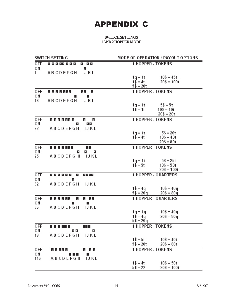## APPENDIX C

|                                   | MODE OF OPERATION / PAYOUT OPTIONS                                       |  |  |
|-----------------------------------|--------------------------------------------------------------------------|--|--|
| 0FF<br>8 8 8 8 8 8 8 8<br>a aa    | <b>1 HOPPER - TOKENS</b>                                                 |  |  |
| ОN<br>E                           |                                                                          |  |  |
| 1<br>IJKL<br><b>ABCDEFGH</b>      | $10\frac{6}{3} = 45t$                                                    |  |  |
|                                   | $1q = 1t$<br>$1\frac{6}{3} = 4t$<br>$20\frac{6}{3} = 100t$               |  |  |
|                                   | $5\frac{6}{3}$ = 20t                                                     |  |  |
| 0FF<br>8 8 8 8 8 8 8<br>E E.<br>E | <b>1 HOPPER - TOKENS</b>                                                 |  |  |
| ОN<br>Ξ<br>E                      |                                                                          |  |  |
| 18<br><b>ABCDEFGH</b><br>IJKL     |                                                                          |  |  |
|                                   | $5\frac{6}{3} = 5t$<br>$1q = 1t$                                         |  |  |
|                                   | $1\$ = 1t<br>$10\frac{6}{3} = 10t$                                       |  |  |
|                                   | $20\frac{6}{3} = 20t$                                                    |  |  |
| 0FF<br>8 8 8 8 8 8 8<br>Е<br>Ξ    | <b>1 HOPPER - TOKENS</b>                                                 |  |  |
| ОN<br>E<br>EЕ                     |                                                                          |  |  |
| 22<br><b>ABCDEFGH</b><br>IJKL     | $5\frac{6}{3}$ = 20t<br>$1q = 1t$                                        |  |  |
|                                   | $10\frac{6}{3} = 40t$<br>$1\frac{2}{3} = 4t$                             |  |  |
|                                   | $20\frac{6}{3} = 80t$                                                    |  |  |
| OFF<br>8 8 8 8 8 8 8<br>EE        | <b>1 HOPPER - TOKENS</b>                                                 |  |  |
| ОN<br>Е<br>Ε<br>E.                |                                                                          |  |  |
| 25<br><b>ABCDEFGH</b><br>1 J K L  |                                                                          |  |  |
|                                   | $5\frac{6}{3} = 25t$<br>$1q = 1t$                                        |  |  |
|                                   | $1\$ = 5t<br>$10\frac{6}{3} = 50t$<br>$20\frac{6}{3} = 100t$             |  |  |
| 0FF<br>8 8 8 8 8 8<br>E<br>3333   | <b>1 HOPPER - QUARTERS</b>                                               |  |  |
| ОN<br>Е                           |                                                                          |  |  |
| 32<br><b>ABCDEFGH</b><br>IJKL     |                                                                          |  |  |
|                                   | $1\$ = 4q<br>$10\frac{6}{3} = 40q$                                       |  |  |
|                                   | $5$ \$ = 20q<br>$20\$ = 80q                                              |  |  |
| OFF<br>8 8 8 8 8 8<br>a aa<br>Е   | <b>1 HOPPER - QUARTERS</b>                                               |  |  |
| ОN<br>Ε<br>E                      |                                                                          |  |  |
| <b>ABCDEFGH</b><br>36<br>IJKL     |                                                                          |  |  |
|                                   | $10\frac{6}{3} = 40q$<br>$1q = 1q$<br>$1\$ = 4q<br>$20\frac{6}{3} = 80q$ |  |  |
|                                   | $5$ \$ = 20 $q$                                                          |  |  |
| OFF<br>988<br>8 8 8 8 8 8         | <b>1 HOPPER - TOKENS</b>                                                 |  |  |
| ОN<br>E E<br><b>E</b>             |                                                                          |  |  |
| 49<br><b>ABCDEFGH</b><br>IJKL     |                                                                          |  |  |
|                                   | $1\$ = 5t<br>$10\frac{6}{3} = 40t$                                       |  |  |
|                                   | $5\frac{6}{3}$ = 20t<br>$20\frac{6}{3} = 80t$                            |  |  |
| <b>OFF</b><br>8 8 8 8 8<br>di did | <b>1 HOPPER - TOKENS</b>                                                 |  |  |
| ΟN<br>a a a<br>Е                  |                                                                          |  |  |
| <b>ABCDEFGH</b><br>116<br>IJKL    | $1\$ = 4t<br>$10\frac{6}{3} = 50t$                                       |  |  |
|                                   | $5\frac{6}{3}$ = 22t<br>$20\frac{6}{3} = 100t$                           |  |  |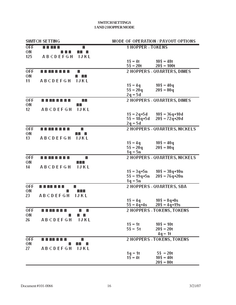| <b>SWITCH SETTING</b>                |                                         | MODE OF OPERATION / PAYOUT OPTIONS             |  |
|--------------------------------------|-----------------------------------------|------------------------------------------------|--|
| <b>OFF</b><br>88888                  | <b>1 HOPPER - TOKENS</b><br>Ε           |                                                |  |
| ΟN<br>a a a                          | aa a                                    |                                                |  |
| 125<br><b>ABCDEFGH</b>               | IJKL                                    |                                                |  |
|                                      | $1\$ = 4t                               | $10\frac{6}{3} = 48t$                          |  |
|                                      | $5\frac{6}{3}$ = 20t                    | $20\frac{6}{3} = 100t$                         |  |
| <b>OFF</b><br>8888888<br>Е           | 2 HOPPERS - QUARTERS, DIMES             |                                                |  |
| ΟN                                   | a ala                                   |                                                |  |
| <b>ABCDEFGH</b><br>11                | <b>IJKL</b>                             |                                                |  |
|                                      | $1\$ = 4q<br>$5\frac{6}{3}$ = 20q       | $10\frac{6}{3} = 40q$<br>$20\frac{6}{3} = 80q$ |  |
|                                      | $2q = 5d$                               |                                                |  |
| 0FF<br>8888888                       | 2 HOPPERS - QUARTERS, DIMES<br>8B       |                                                |  |
| ΟN<br>ЕE                             |                                         |                                                |  |
| 12<br><b>ABCDEFGH</b>                | IJKL                                    |                                                |  |
|                                      | $1\$ = 2q+5d                            | $10\$ = 36q+10d                                |  |
|                                      | 5\$ = 18q+5d                            | $20\frac{6}{3} = 72q + 20d$                    |  |
|                                      | $2q = 5d$                               |                                                |  |
| <b>OFF</b><br>8888888                | Е                                       | 2 HOPPERS - QUARTERS, NICKELS                  |  |
| ΟN                                   | ala la                                  |                                                |  |
| 13<br><b>ABCDEFGH</b>                | <b>IJKL</b>                             |                                                |  |
|                                      | $1\$ = 4q                               | $10\frac{6}{3} = 40q$                          |  |
|                                      | $5\frac{6}{3}$ = 20 q                   | $20\frac{6}{3} = 80q$                          |  |
|                                      | $1q = 5n$                               |                                                |  |
| <b>OFF</b><br>8888888<br>ΟN<br>a ala | E                                       | 2 HOPPERS - QUARTERS, NICKELS                  |  |
| 14<br><b>ABCDEFGH</b>                | <b>IJKL</b>                             |                                                |  |
|                                      | 1\$ = 3q+5n                             | $10\$ = 38q+10n                                |  |
|                                      | 5\$ = 19q+5n                            | $20\$ = $76q + 20n$                            |  |
|                                      | 1q = 5n                                 |                                                |  |
| <b>OFF</b><br>8888888<br>Е           |                                         | 2 HOPPERS - QUARTERS, SBA                      |  |
| ОN<br>Е                              | 888                                     |                                                |  |
| 23<br><b>ABCDEFGH</b>                | IJKL                                    |                                                |  |
|                                      | $1\$ = 4q                               | $10\frac{6}{3} = 8q + 8s$                      |  |
|                                      | $5\frac{6}{5}$ = 4q+4s                  | $20\$ = $4q + 19s$                             |  |
| 0FF<br>8 8 8 8 8 8 8<br>Е            | Е                                       | 2 HOPPERS - TOKENS, TOKENS                     |  |
| ОN<br>н<br><b>ABCDEFGH</b><br>26     | $\mathbb{R}^n$ , $\mathbb{R}^n$<br>IJKL |                                                |  |
|                                      | $1\frac{6}{3} = 1t$                     | $10\frac{6}{3} = 10t$                          |  |
|                                      | $5\frac{1}{2}$ = 5t                     | $20\frac{6}{3} = 20t$                          |  |
|                                      |                                         | $4q = 1t$                                      |  |
| OFF<br>8 8 8 8 8 8 8                 | <b>2 HOPPERS - TOKENS, TOKENS</b><br>Ξ  |                                                |  |
| OΝ<br>Е                              | 비비 비                                    |                                                |  |
| 27<br><b>ABCDEFGH</b>                | 1 J K L                                 |                                                |  |
|                                      | $1q = 1t$                               | $5\frac{1}{2}$ = 20t                           |  |
|                                      | $1\frac{6}{3} = 4t$                     | $10\frac{6}{3} = 40t$                          |  |
|                                      |                                         | $20\frac{6}{3} = 80t$                          |  |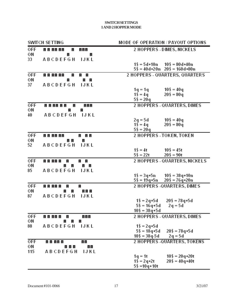| SWITCH SETTING |                                                    | MODE OF OPERATION / PAYOUT OPTIONS                                             |
|----------------|----------------------------------------------------|--------------------------------------------------------------------------------|
| 0FF            | 8 8 88 88<br>Е<br>a a a                            | <b>2 HOPPERS - DIMES, NICKELS</b>                                              |
| ΟN<br>33       | Е<br>E<br><b>ABCDEFGH</b><br>IJKL                  |                                                                                |
|                |                                                    | $1\$ = 5d+10n $10\$ = 80d+40n                                                  |
|                |                                                    | $5\frac{2}{3}$ = 40d+20n 20\$ = 160d+80n                                       |
| <b>OFF</b>     | 8 8 88 88<br>E<br>$z = z$                          | 2 HOPPERS - QUARTERS, QUARTERS                                                 |
| ΟN<br>37       | Ξ<br>$z = z$<br><b>ABCDEFGH</b><br>IJKL            |                                                                                |
|                |                                                    | $10\$ = 40q<br>$1q = 1q$                                                       |
|                |                                                    | $20\frac{6}{3} = 80q$<br>$1\$ = 4q                                             |
|                |                                                    | $5\frac{6}{3}$ = 20q                                                           |
| 0FF<br>ΟN      | 8 8 8 8 8 8<br>Ξ<br>a ala                          | 2 HOPPERS - QUARTERS, DIMES                                                    |
| 40             | Е<br>E<br><b>ABCDEFGH</b><br>IJKL                  |                                                                                |
|                |                                                    | $10\$ = 40q<br>$2q = 5d$                                                       |
|                |                                                    | $1\frac{2}{3} = 4q$<br>$20\frac{6}{3} = 80q$                                   |
| <b>OFF</b>     |                                                    | $5\frac{6}{3}$ = 20q<br>2 HOPPERS - TOKEN, TOKEN                               |
| ΟN             | 88888<br>8 B B<br>$\mathbb{Z}$ , $\mathbb{Z}$<br>E |                                                                                |
| 52             | <b>ABCDEFGH</b><br>IJKL                            |                                                                                |
|                |                                                    | $1\$ = 4t<br>$10\$ = 45t                                                       |
|                |                                                    | $5\frac{6}{3}$ = 22t<br>$20\frac{6}{3} = 90t$                                  |
| 0FF<br>ΟN      | 8 8 8 8 8<br>Е<br>$z = z$<br>E<br>Е<br>a a         | 2 HOPPERS - QUARTERS, NICKELS                                                  |
| 85             | <b>ABCDEFGH</b><br>IJKL                            |                                                                                |
|                |                                                    | $10\$ = 38q+10n<br>1\$ = 3q+5n                                                 |
| <b>OFF</b>     | 88888                                              | 5\$ = 19q+5n<br>$20\$ = 76q+20n<br>2 HOPPERS -QUARTERS, DIMES                  |
| ΟN             | E<br>Е<br>$\mathbf{E}$<br>dia la<br>E.             |                                                                                |
| 87             | <b>ABCDEFGH</b><br>IJKL                            |                                                                                |
|                |                                                    | $1\$ = 2q+5d<br>$20\$ = $78q + 5d$                                             |
|                |                                                    | $5\$ = 16q+5d<br>$2q = 5d$<br>10\$ = 38q+5d                                    |
| OFF            | 8 8 8 8 8<br>비비비<br>Е                              | 2 HOPPERS - QUARTERS, DIMES                                                    |
| ΟN             | Ξ<br><b>E</b><br>Ε                                 |                                                                                |
| 88             | <b>ABCDEFGH</b><br>IJKL                            | $1\$ = 2q+5d                                                                   |
|                |                                                    | $5\$ = 18q+5d<br>$20\$ = $78q + 5d$<br>$10\frac{6}{3} = 38q - 5d$<br>$2q = 5d$ |
| 0FF            | 8 8 88 8<br>88                                     | 2 HOPPERS - QUARTERS, TOKENS                                                   |
| ОN             | a a a<br>EE                                        |                                                                                |
| 115            | <b>ABCDEFGH</b><br>IJKL                            |                                                                                |
|                |                                                    | $10\$ = $20q+20t$<br>$1q = 1t$<br>$20\frac{6}{3}$ = 40q+40t<br>$1\$ = 2q+2t    |
|                |                                                    | $5\frac{6}{3}$ = 10q + 10t                                                     |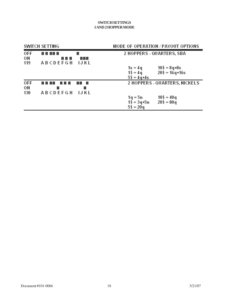| <b>SWITCH SETTING</b> |                                         |                   | MODE OF OPERATION / PAYOUT OPTIONS                           |                                                          |
|-----------------------|-----------------------------------------|-------------------|--------------------------------------------------------------|----------------------------------------------------------|
| <b>OFF</b><br>ΟN      | e e ee e<br>e e e                       | Е<br>999          | 2 HOPPERS - QUARTERS, SBA                                    |                                                          |
| 119                   | <b>ABCDEFGH</b>                         | IJKL              | $1s = 4q$<br>$1\$ = 4q                                       | $10\frac{6}{3} = 8q + 8s$<br>$20\frac{6}{3} = 16q + 16s$ |
| 0FF<br>ΟN<br>130      | e e ee<br>E E E<br>Е<br><b>ABCDEFGH</b> | 88 S<br>н<br>IJKL | $5\$ = 4q+4s                                                 | 2 HOPPERS - QUARTERS, NICKELS                            |
|                       |                                         |                   | 1q = 5n<br>$1\frac{2}{3} = 3q + 5n$<br>$5\frac{6}{3}$ = 20 q | $10\frac{6}{3} = 40q$<br>$20\frac{6}{3} = 80q$           |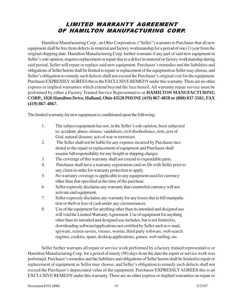### LIMITED WARRANTY AGREEMENT OF HAMILTON MANUFACTURING CORP.

Hamilton Manufacturing Corp., an Ohio Corporation, ("Seller") warrants to Purchaser that all new equipment shall be free from defects in material and factory workmanship for a period of one (1) year from the original shipping date. Hamilton Manufacturing Corp. further warrants if any part of said new equipment in Seller's sole opinion, requires replacement or repair due to a defect in material or factory workmanship during said period, Seller will repair or replace said new equipment. Purchaser's remedies and the liabilities and obligations of Seller herein shall be limited to repair or replacement of the equipment as Seller may choose, and Seller's obligation to remedy such defects shall not exceed the Purchaser's original cost for the equipment. Purchaser EXPRESSLY AGREES this is the EXCLUSIVE REMEDY under this warranty. There are no other express or implied warranties which extend beyond the face hereof. All warranty repair service must be performed by either a Factory Trained Service Representative or **HAMILTON MANUFACTURING CORP., 1026 Hamilton Drive, Holland, Ohio 43528 PHONE (419) 867-4858 or (800) 837-5561, FAX (419) 867-4867.**

The limited warranty for new equipment is conditioned upon the following:

- 1. The subject equipment has not, in the Seller's sole opinion, been subjected to: accident, abuse, misuse, vandalism, civil disobedience, riots, acts of God, natural disaster, acts of war or terrorism.
- 2. The Seller shall not be liable for any expense incurred by Purchaser incidental to the repair or replacement of equipment and Purchaser shall assume full responsibility for any freight or shipping charges.
- 3. The coverage of this warranty shall not extend to expendable parts.
- 4. Purchaser shall have a warranty registration card on file with Seller prior to any claim in order for warranty protection to apply.
- 5. No warranty coverage is applicable to any equipment used for currency other than that specified at the time of the purchase.
- 6. Seller expressly disclaims any warranty that counterfeit currency will not activate said equipment.
- 7. Seller expressly disclaims any warranty for any losses due to bill manipulation or theft or loss of cash under any circumstances.
- 8. Use of the equipment for anything other than its intended and designed use will void the Limited Warranty Agreement. Use of equipment for anything other than its intended and designed use includes, but is not limited to, downloading software/applications not certified by Seller such as e-mail, spyware, screen savers, viruses, worms, third party software, web search engines, cookies, spam, desktop applications, games, web surfing, etc.

Seller further warrants all repair or service work performed by a factory trained representative or Hamilton Manufacturing Corp. for a period of ninety (90) days from the date the repair or service work was performed. Purchaser's remedies and the liabilities and obligations of Seller herein shall be limited to repair or replacement of equipment as Seller may choose, and Seller's obligation to remedy such defects shall not exceed the Purchaser's depreciated value of the equipment. Purchaser EXPRESSLY AGREES this is an EXCLUSIVE REMEDY under this warranty. There are no other express or implied warranties on repair or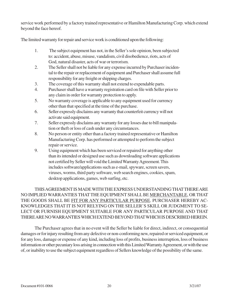service work performed by a factory trained representative or Hamilton Manufacturing Corp. which extend beyond the face hereof.

The limited warranty for repair and service work is conditioned upon the following:

- 1. The subject equipment has not, in the Seller's sole opinion, been subjected to: accident, abuse, misuse, vandalism, civil disobedience, riots, acts of God, natural disaster, acts of war or terrorism.
- 2. The Seller shall not be liable for any expense incurred by Purchaser incidental to the repair or replacement of equipment and Purchaser shall assume full responsibility for any freight or shipping charges.
- 3. The coverage of this warranty shall not extend to expendable parts.
- 4. Purchaser shall have a warranty registration card on file with Seller prior to any claim in order for warranty protection to apply.
- 5. No warranty coverage is applicable to any equipment used for currency other than that specified at the time of the purchase.
- 6. Seller expressly disclaims any warranty that counterfeit currency will not activate said equipment.
- 7. Seller expressly disclaims any warranty for any losses due to bill manipulation or theft or loss of cash under any circumstances.
- 8. No person or entity other than a factory trained representative or Hamilton Manufacturing Corp. has performed or attempted to perform the subject repair or service.
- 9. Using equipment which has been serviced or repaired for anything other than its intended or designed use such as downloading software applications not certified by Seller will void the Limited Warranty Agreement. This includes software/applications such as e-mail, spyware, screen savers, viruses, worms, third party software, web search engines, cookies, spam, desktop applications, games, web surfing, etc.

THIS AGREEMENT IS MADE WITH THE EXPRESS UNDERSTANDING THAT THERE ARE NO IMPLIED WARRANTIES THAT THE EQUIPMENT SHALL BE MERCHANTABLE, OR THAT THE GOODS SHALL BE FIT FOR ANY PARTICULAR PURPOSE. PURCHASER HEREBY AC-KNOWLEDGES THAT IT IS NOT RELYING ON THE SELLER'S SKILL OR JUDGMENT TO SE-LECT OR FURNISH EQUIPMENT SUITABLE FOR ANY PARTICULAR PURPOSE AND THAT THERE ARE NO WARRANTIES WHICH EXTEND BEYOND THAT WHICH IS DESCRIBED HEREIN.

The Purchaser agrees that in no event will the Seller be liable for direct, indirect, or consequential damages or for injury resulting from any defective or non-conforming new, repaired or serviced equipment, or for any loss, damage or expense of any kind, including loss of profits, business interruption, loss of business information or other pecuniary loss arising in connection with this Limited Warranty Agreement, or with the use of, or inability to use the subject equipment regardless of Sellers knowledge of the possibility of the same.